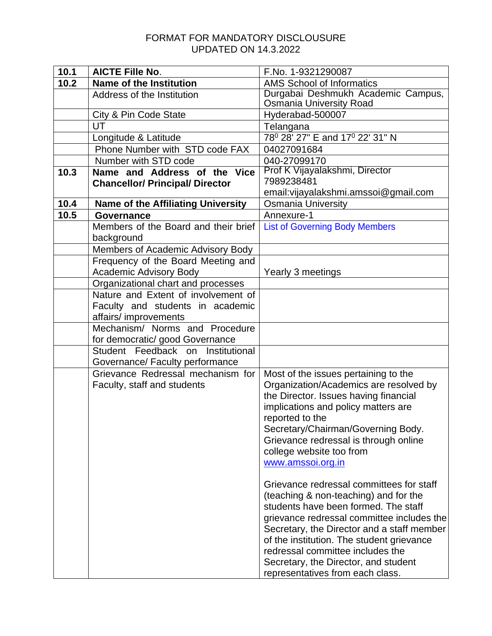## FORMAT FOR MANDATORY DISCLOUSURE UPDATED ON 14.3.2022

| 10.1 | <b>AICTE Fille No.</b>                                                    | F.No. 1-9321290087                                                   |
|------|---------------------------------------------------------------------------|----------------------------------------------------------------------|
| 10.2 | <b>Name of the Institution</b>                                            | <b>AMS School of Informatics</b>                                     |
|      | Address of the Institution                                                | Durgabai Deshmukh Academic Campus,<br><b>Osmania University Road</b> |
|      | City & Pin Code State                                                     | Hyderabad-500007                                                     |
|      | UT                                                                        | Telangana                                                            |
|      | Longitude & Latitude                                                      | 78 <sup>0</sup> 28' 27" E and 17 <sup>0</sup> 22' 31" N              |
|      | Phone Number with STD code FAX                                            | 04027091684                                                          |
|      | Number with STD code                                                      | 040-27099170                                                         |
| 10.3 | Name and Address of the Vice                                              | Prof K Vijayalakshmi, Director                                       |
|      | <b>Chancellor/ Principal/ Director</b>                                    | 7989238481                                                           |
|      |                                                                           | email: vijayalakshmi.amssoi@gmail.com                                |
| 10.4 | <b>Name of the Affiliating University</b>                                 | <b>Osmania University</b>                                            |
| 10.5 | Governance                                                                | Annexure-1                                                           |
|      | Members of the Board and their brief                                      | <b>List of Governing Body Members</b>                                |
|      | background                                                                |                                                                      |
|      | Members of Academic Advisory Body                                         |                                                                      |
|      | Frequency of the Board Meeting and                                        |                                                                      |
|      | Academic Advisory Body                                                    | Yearly 3 meetings                                                    |
|      | Organizational chart and processes<br>Nature and Extent of involvement of |                                                                      |
|      | Faculty and students in academic                                          |                                                                      |
|      | affairs/ improvements                                                     |                                                                      |
|      | Mechanism/ Norms and Procedure                                            |                                                                      |
|      | for democratic/ good Governance                                           |                                                                      |
|      | Student Feedback on Institutional                                         |                                                                      |
|      | Governance/ Faculty performance                                           |                                                                      |
|      | Grievance Redressal mechanism for                                         | Most of the issues pertaining to the                                 |
|      | Faculty, staff and students                                               | Organization/Academics are resolved by                               |
|      |                                                                           | the Director. Issues having financial                                |
|      |                                                                           | implications and policy matters are                                  |
|      |                                                                           | reported to the                                                      |
|      |                                                                           | Secretary/Chairman/Governing Body.                                   |
|      |                                                                           | Grievance redressal is through online                                |
|      |                                                                           | college website too from                                             |
|      |                                                                           | www.amssoi.org.in                                                    |
|      |                                                                           | Grievance redressal committees for staff                             |
|      |                                                                           | (teaching & non-teaching) and for the                                |
|      |                                                                           | students have been formed. The staff                                 |
|      |                                                                           | grievance redressal committee includes the                           |
|      |                                                                           | Secretary, the Director and a staff member                           |
|      |                                                                           | of the institution. The student grievance                            |
|      |                                                                           | redressal committee includes the                                     |
|      |                                                                           | Secretary, the Director, and student                                 |
|      |                                                                           | representatives from each class.                                     |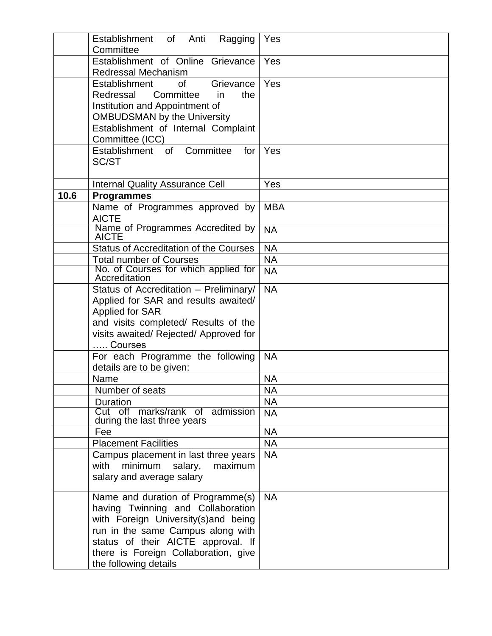|      | Establishment of<br>Anti<br>Ragging<br>Committee                                                                                                                                                                                                          | Yes        |
|------|-----------------------------------------------------------------------------------------------------------------------------------------------------------------------------------------------------------------------------------------------------------|------------|
|      | Establishment of Online Grievance<br><b>Redressal Mechanism</b>                                                                                                                                                                                           | Yes        |
|      | Grievance<br>Establishment<br><b>of</b><br>Committee<br>Redressal<br>in<br>the<br>Institution and Appointment of<br><b>OMBUDSMAN by the University</b><br>Establishment of Internal Complaint<br>Committee (ICC)                                          | Yes        |
|      | Establishment of<br>Committee<br>for<br>SC/ST                                                                                                                                                                                                             | Yes        |
|      | <b>Internal Quality Assurance Cell</b>                                                                                                                                                                                                                    | Yes        |
| 10.6 | <b>Programmes</b>                                                                                                                                                                                                                                         |            |
|      | Name of Programmes approved by<br><b>AICTE</b>                                                                                                                                                                                                            | <b>MBA</b> |
|      | Name of Programmes Accredited by<br><b>AICTE</b>                                                                                                                                                                                                          | <b>NA</b>  |
|      | <b>Status of Accreditation of the Courses</b>                                                                                                                                                                                                             | <b>NA</b>  |
|      | <b>Total number of Courses</b>                                                                                                                                                                                                                            | <b>NA</b>  |
|      | No. of Courses for which applied for<br>Accreditation                                                                                                                                                                                                     | <b>NA</b>  |
|      | Status of Accreditation - Preliminary/<br>Applied for SAR and results awaited/<br><b>Applied for SAR</b><br>and visits completed/ Results of the<br>visits awaited/ Rejected/ Approved for<br>Courses                                                     | <b>NA</b>  |
|      | For each Programme the following<br>details are to be given:                                                                                                                                                                                              | <b>NA</b>  |
|      | Name                                                                                                                                                                                                                                                      | <b>NA</b>  |
|      | Number of seats                                                                                                                                                                                                                                           | <b>NA</b>  |
|      | Duration                                                                                                                                                                                                                                                  | <b>NA</b>  |
|      | Cut off marks/rank of admission<br>during the last three years                                                                                                                                                                                            | <b>NA</b>  |
|      | Fee                                                                                                                                                                                                                                                       | <b>NA</b>  |
|      | <b>Placement Facilities</b>                                                                                                                                                                                                                               | <b>NA</b>  |
|      | Campus placement in last three years<br>minimum<br>salary,<br>with<br>maximum<br>salary and average salary                                                                                                                                                | <b>NA</b>  |
|      | Name and duration of Programme(s)<br>having Twinning and Collaboration<br>with Foreign University(s)and being<br>run in the same Campus along with<br>status of their AICTE approval. If<br>there is Foreign Collaboration, give<br>the following details | <b>NA</b>  |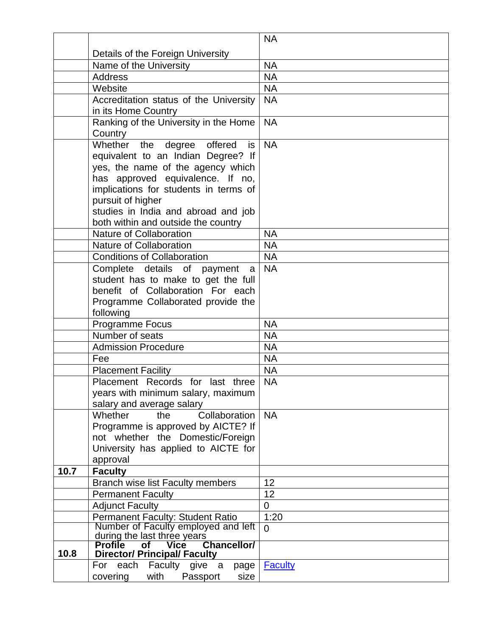|      |                                                                                          | <b>NA</b>      |
|------|------------------------------------------------------------------------------------------|----------------|
|      | Details of the Foreign University                                                        |                |
|      | Name of the University                                                                   | <b>NA</b>      |
|      | <b>Address</b>                                                                           | <b>NA</b>      |
|      | Website                                                                                  | <b>NA</b>      |
|      | Accreditation status of the University                                                   | <b>NA</b>      |
|      | in its Home Country                                                                      |                |
|      | Ranking of the University in the Home                                                    | <b>NA</b>      |
|      | Country                                                                                  |                |
|      | Whether the degree offered<br>is l                                                       | <b>NA</b>      |
|      | equivalent to an Indian Degree? If                                                       |                |
|      | yes, the name of the agency which                                                        |                |
|      | has approved equivalence. If no,                                                         |                |
|      | implications for students in terms of                                                    |                |
|      | pursuit of higher                                                                        |                |
|      | studies in India and abroad and job                                                      |                |
|      | both within and outside the country                                                      |                |
|      | Nature of Collaboration                                                                  | <b>NA</b>      |
|      | Nature of Collaboration                                                                  | <b>NA</b>      |
|      | <b>Conditions of Collaboration</b>                                                       | <b>NA</b>      |
|      | Complete details of payment a                                                            | <b>NA</b>      |
|      | student has to make to get the full                                                      |                |
|      | benefit of Collaboration For each                                                        |                |
|      | Programme Collaborated provide the                                                       |                |
|      | following                                                                                | <b>NA</b>      |
|      | Programme Focus<br>Number of seats                                                       | <b>NA</b>      |
|      | <b>Admission Procedure</b>                                                               | <b>NA</b>      |
|      | Fee                                                                                      | <b>NA</b>      |
|      |                                                                                          | <b>NA</b>      |
|      | <b>Placement Facility</b><br>Placement Records for last three                            | <b>NA</b>      |
|      | years with minimum salary, maximum                                                       |                |
|      | salary and average salary                                                                |                |
|      | Collaboration<br>Whether<br>the                                                          | <b>NA</b>      |
|      | Programme is approved by AICTE? If                                                       |                |
|      | not whether the Domestic/Foreign                                                         |                |
|      | University has applied to AICTE for                                                      |                |
|      | approval                                                                                 |                |
| 10.7 | <b>Faculty</b>                                                                           |                |
|      | Branch wise list Faculty members                                                         | 12             |
|      | <b>Permanent Faculty</b>                                                                 | 12             |
|      | <b>Adjunct Faculty</b>                                                                   | $\mathbf 0$    |
|      | Permanent Faculty: Student Ratio                                                         | 1:20           |
|      | Number of Faculty employed and left                                                      | $\Omega$       |
|      | during the last three years<br><b>Chancellor/</b><br><b>Profile</b><br><b>Vice</b><br>Οf |                |
| 10.8 | <b>Director/ Principal/ Faculty</b>                                                      |                |
|      | For each Faculty give a<br>page                                                          | <b>Faculty</b> |
|      | with<br>Passport<br>size<br>covering                                                     |                |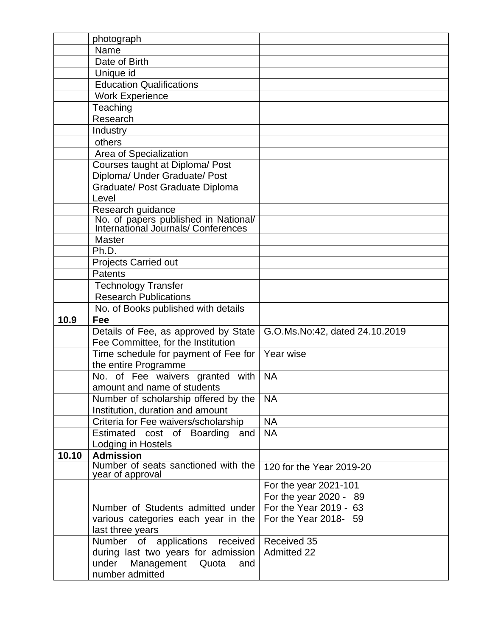|       | photograph                                                                                      |                                |
|-------|-------------------------------------------------------------------------------------------------|--------------------------------|
|       | Name                                                                                            |                                |
|       | Date of Birth                                                                                   |                                |
|       | Unique id                                                                                       |                                |
|       | <b>Education Qualifications</b>                                                                 |                                |
|       | <b>Work Experience</b>                                                                          |                                |
|       | Teaching                                                                                        |                                |
|       | Research                                                                                        |                                |
|       | Industry                                                                                        |                                |
|       | others                                                                                          |                                |
|       | Area of Specialization                                                                          |                                |
|       | Courses taught at Diploma/ Post                                                                 |                                |
|       | Diploma/ Under Graduate/ Post                                                                   |                                |
|       | Graduate/ Post Graduate Diploma                                                                 |                                |
|       | Level                                                                                           |                                |
|       | Research guidance<br>No. of papers published in National/<br>International Journals/Conferences |                                |
|       |                                                                                                 |                                |
|       |                                                                                                 |                                |
|       | <b>Master</b>                                                                                   |                                |
|       | Ph.D.                                                                                           |                                |
|       | Projects Carried out                                                                            |                                |
|       | <b>Patents</b>                                                                                  |                                |
|       | <b>Technology Transfer</b>                                                                      |                                |
|       | <b>Research Publications</b>                                                                    |                                |
|       |                                                                                                 |                                |
|       | No. of Books published with details                                                             |                                |
| 10.9  | Fee                                                                                             |                                |
|       | Details of Fee, as approved by State                                                            | G.O.Ms.No:42, dated 24.10.2019 |
|       | Fee Committee, for the Institution                                                              |                                |
|       | Time schedule for payment of Fee for                                                            | Year wise                      |
|       | the entire Programme                                                                            |                                |
|       | No. of Fee waivers granted with                                                                 | <b>NA</b>                      |
|       | amount and name of students                                                                     |                                |
|       | Number of scholarship offered by the                                                            | <b>NA</b>                      |
|       | Institution, duration and amount                                                                |                                |
|       | Criteria for Fee waivers/scholarship                                                            | <b>NA</b>                      |
|       | Estimated cost of Boarding<br>and                                                               | <b>NA</b>                      |
|       | Lodging in Hostels                                                                              |                                |
| 10.10 | <b>Admission</b>                                                                                |                                |
|       | Number of seats sanctioned with the<br>year of approval                                         | 120 for the Year 2019-20       |
|       |                                                                                                 | For the year 2021-101          |
|       |                                                                                                 | For the year 2020 - 89         |
|       | Number of Students admitted under                                                               | For the Year 2019 - 63         |
|       | various categories each year in the                                                             | For the Year 2018- 59          |
|       | last three years                                                                                |                                |
|       | Number of applications received                                                                 | Received 35                    |
|       | during last two years for admission                                                             | <b>Admitted 22</b>             |
|       | under<br>Management<br>Quota<br>and<br>number admitted                                          |                                |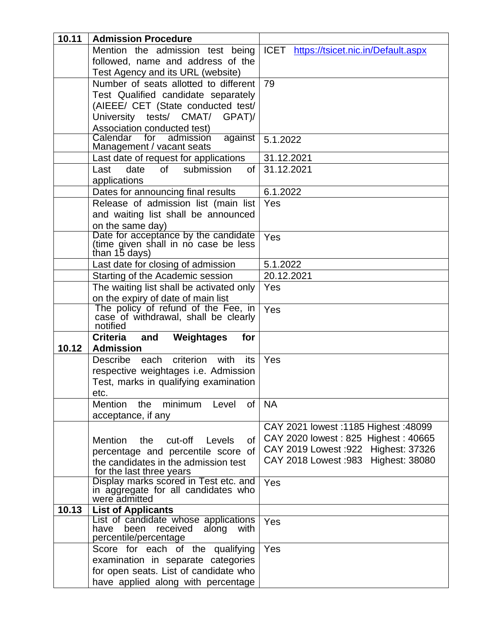| 10.11 | <b>Admission Procedure</b>                                                  |                                               |
|-------|-----------------------------------------------------------------------------|-----------------------------------------------|
|       | Mention the admission test being                                            | ICET https://tsicet.nic.in/Default.aspx       |
|       | followed, name and address of the                                           |                                               |
|       | Test Agency and its URL (website)                                           |                                               |
|       | Number of seats allotted to different                                       | 79                                            |
|       | Test Qualified candidate separately                                         |                                               |
|       | (AIEEE/ CET (State conducted test/                                          |                                               |
|       | University tests/ CMAT/ GPAT)/                                              |                                               |
|       | Association conducted test)                                                 |                                               |
|       | Calendar for<br>admission<br>against                                        | 5.1.2022                                      |
|       | Management / vacant seats                                                   |                                               |
|       | Last date of request for applications                                       | 31.12.2021                                    |
|       | Last<br>date<br>of<br>submission<br>of                                      | 31.12.2021                                    |
|       | applications                                                                |                                               |
|       | Dates for announcing final results                                          | 6.1.2022                                      |
|       | Release of admission list (main list                                        | Yes                                           |
|       | and waiting list shall be announced                                         |                                               |
|       | on the same day)                                                            |                                               |
|       | Date for acceptance by the candidate                                        | Yes                                           |
|       | (time given shall in no case be less<br>than 15 days)                       |                                               |
|       | Last date for closing of admission                                          | 5.1.2022                                      |
|       | Starting of the Academic session                                            | 20.12.2021                                    |
|       | The waiting list shall be activated only                                    | Yes                                           |
|       | on the expiry of date of main list                                          |                                               |
|       | The policy of refund of the Fee, in<br>case of withdrawal, shall be clearly | Yes                                           |
|       |                                                                             |                                               |
|       |                                                                             |                                               |
|       | notified                                                                    |                                               |
|       | <b>Criteria</b><br>Weightages<br>for<br>and                                 |                                               |
| 10.12 | <b>Admission</b>                                                            |                                               |
|       | criterion<br><b>Describe</b><br>each<br>with<br>its                         | Yes                                           |
|       | respective weightages i.e. Admission                                        |                                               |
|       | Test, marks in qualifying examination                                       |                                               |
|       | etc.                                                                        |                                               |
|       | minimum<br>Mention the<br>of<br>Level                                       | <b>NA</b>                                     |
|       | acceptance, if any                                                          |                                               |
|       |                                                                             | CAY 2021 lowest: 1185 Highest: 48099          |
|       | Mention<br>the cut-off<br>Levels<br>0f                                      | CAY 2020 lowest: 825 Highest: 40665           |
|       | percentage and percentile score of                                          | CAY 2019 Lowest : 922 Highest: 37326          |
|       | the candidates in the admission test                                        | CAY 2018 Lowest :983<br><b>Highest: 38080</b> |
|       | for the last three years                                                    |                                               |
|       | Display marks scored in Test etc. and                                       | Yes                                           |
|       |                                                                             |                                               |
| 10.13 | in aggregate for all candidates who<br>were admitted                        |                                               |
|       | <b>List of Applicants</b><br>List of candidate whose applications           | Yes                                           |
|       | been<br>have<br>received<br>along<br>with                                   |                                               |
|       | percentile/percentage                                                       |                                               |
|       | Score for each of the qualifying                                            | Yes                                           |
|       | examination in separate categories                                          |                                               |
|       | for open seats. List of candidate who<br>have applied along with percentage |                                               |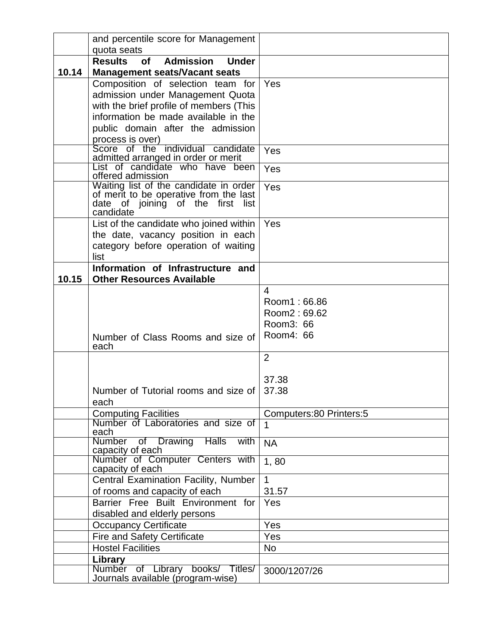|       | and percentile score for Management                                                                     |                                           |
|-------|---------------------------------------------------------------------------------------------------------|-------------------------------------------|
|       | quota seats                                                                                             |                                           |
| 10.14 | <b>Results</b><br><b>Admission</b><br><b>Under</b><br><b>of</b><br><b>Management seats/Vacant seats</b> |                                           |
|       | Composition of selection team for                                                                       | Yes                                       |
|       | admission under Management Quota                                                                        |                                           |
|       | with the brief profile of members (This                                                                 |                                           |
|       | information be made available in the                                                                    |                                           |
|       | public domain after the admission                                                                       |                                           |
|       | process is over)                                                                                        |                                           |
|       | Score of the individual candidate<br>admitted arranged in order or merit                                | Yes                                       |
|       | List of candidate who have been<br>offered admission                                                    | Yes                                       |
|       |                                                                                                         | Yes                                       |
|       | Waiting list of the candidate in order<br>of merit to be operative from the last                        |                                           |
|       | date of joining of the first list                                                                       |                                           |
|       | candidate<br>List of the candidate who joined within                                                    | Yes                                       |
|       | the date, vacancy position in each                                                                      |                                           |
|       | category before operation of waiting                                                                    |                                           |
|       | list                                                                                                    |                                           |
|       | Information of Infrastructure and                                                                       |                                           |
| 10.15 | <b>Other Resources Available</b>                                                                        |                                           |
|       |                                                                                                         | 4                                         |
|       |                                                                                                         | Room1: 66.86                              |
|       |                                                                                                         | Room2: 69.62                              |
|       |                                                                                                         | Room3: 66                                 |
|       | Number of Class Rooms and size of                                                                       | Room4: 66                                 |
|       | each                                                                                                    |                                           |
|       |                                                                                                         | $\overline{2}$                            |
|       |                                                                                                         |                                           |
|       |                                                                                                         | 37.38                                     |
|       | Number of Tutorial rooms and size of                                                                    | 37.38                                     |
|       | each                                                                                                    |                                           |
|       | <b>Computing Facilities</b><br>Number of Laboratories and size of                                       | Computers: 80 Printers: 5<br>$\mathbf{1}$ |
|       | each                                                                                                    |                                           |
|       | Number of Drawing<br><b>Halls</b><br>with                                                               | <b>NA</b>                                 |
|       | capacity of each<br>Number of Computer Centers with<br>capacity of each                                 | 1,80                                      |
|       | Central Examination Facility, Number                                                                    | $\mathbf{1}$                              |
|       | of rooms and capacity of each                                                                           | 31.57                                     |
|       | Barrier Free Built Environment for                                                                      | Yes                                       |
|       | disabled and elderly persons                                                                            |                                           |
|       | <b>Occupancy Certificate</b>                                                                            | Yes                                       |
|       | <b>Fire and Safety Certificate</b>                                                                      | Yes                                       |
|       | <b>Hostel Facilities</b>                                                                                | No                                        |
|       | Library                                                                                                 |                                           |
|       | Number of Library<br>books/ Titles/<br>Journals available (program-wise)                                | 3000/1207/26                              |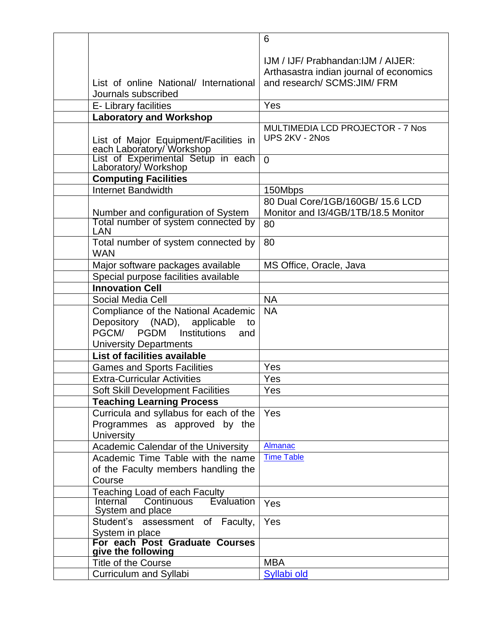|                                                                                                                                                                  | 6                                                                                                              |
|------------------------------------------------------------------------------------------------------------------------------------------------------------------|----------------------------------------------------------------------------------------------------------------|
| List of online National/ International                                                                                                                           | IJM / IJF/ Prabhandan: IJM / AIJER:<br>Arthasastra indian journal of economics<br>and research/ SCMS: JIM/ FRM |
| Journals subscribed                                                                                                                                              |                                                                                                                |
| E- Library facilities                                                                                                                                            | Yes                                                                                                            |
| Laboratory and Workshop                                                                                                                                          |                                                                                                                |
| List of Major Equipment/Facilities in<br>each Laboratory/ Workshop<br>List of Experimental Setup in each<br>Laboratory/ Workshop                                 | <b>MULTIMEDIA LCD PROJECTOR - 7 Nos</b><br>UPS 2KV - 2Nos                                                      |
|                                                                                                                                                                  | $\overline{0}$                                                                                                 |
| <b>Computing Facilities</b>                                                                                                                                      |                                                                                                                |
| <b>Internet Bandwidth</b>                                                                                                                                        | 150Mbps                                                                                                        |
| Number and configuration of System<br>Total number of system connected by                                                                                        | 80 Dual Core/1GB/160GB/ 15.6 LCD<br>Monitor and I3/4GB/1TB/18.5 Monitor<br>80                                  |
| LAN                                                                                                                                                              |                                                                                                                |
| Total number of system connected by<br><b>WAN</b>                                                                                                                | 80                                                                                                             |
| Major software packages available                                                                                                                                | MS Office, Oracle, Java                                                                                        |
| Special purpose facilities available                                                                                                                             |                                                                                                                |
| <b>Innovation Cell</b>                                                                                                                                           |                                                                                                                |
| Social Media Cell                                                                                                                                                | <b>NA</b>                                                                                                      |
| Compliance of the National Academic<br>Depository (NAD), applicable<br>to<br>PGCM/<br><b>PGDM</b><br><b>Institutions</b><br>and<br><b>University Departments</b> | <b>NA</b>                                                                                                      |
| List of facilities available                                                                                                                                     |                                                                                                                |
| <b>Games and Sports Facilities</b>                                                                                                                               | Yes                                                                                                            |
| <b>Extra-Curricular Activities</b>                                                                                                                               | Yes                                                                                                            |
| <b>Soft Skill Development Facilities</b>                                                                                                                         | Yes                                                                                                            |
| <b>Teaching Learning Process</b>                                                                                                                                 |                                                                                                                |
| Curricula and syllabus for each of the<br>Programmes as approved by the<br><b>University</b>                                                                     | Yes                                                                                                            |
| Academic Calendar of the University                                                                                                                              | <b>Almanac</b>                                                                                                 |
| Academic Time Table with the name<br>of the Faculty members handling the<br>Course                                                                               | <b>Time Table</b>                                                                                              |
| Teaching Load of each Faculty                                                                                                                                    |                                                                                                                |
| Continuous<br>Internal<br><b>Evaluation</b><br>System and place                                                                                                  | Yes                                                                                                            |
| Student's assessment of Faculty,                                                                                                                                 | Yes                                                                                                            |
| System in place<br>For each Post Graduate Courses                                                                                                                |                                                                                                                |
| give the following                                                                                                                                               |                                                                                                                |
| Title of the Course                                                                                                                                              | <b>MBA</b>                                                                                                     |
| Curriculum and Syllabi                                                                                                                                           | Syllabi old                                                                                                    |